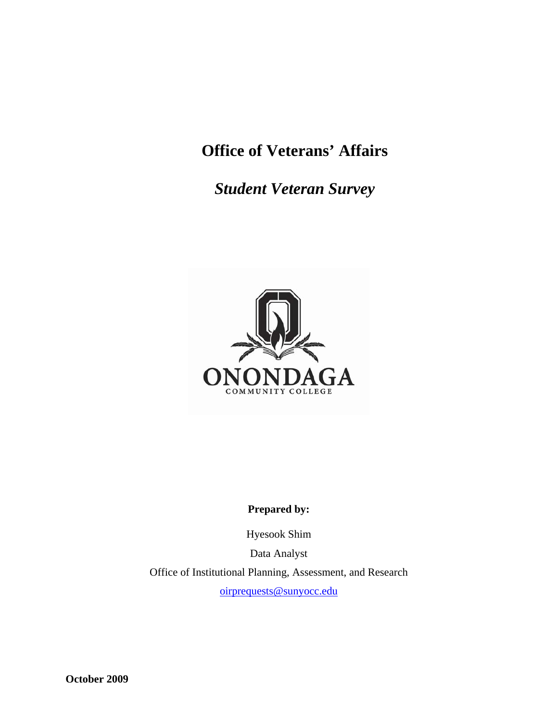# **Office of Veterans' Affairs**

*Student Veteran Survey* 



# **Prepared by:**

Hyesook Shim

Data Analyst

Office of Institutional Planning, Assessment, and Research

oirprequests@sunyocc.edu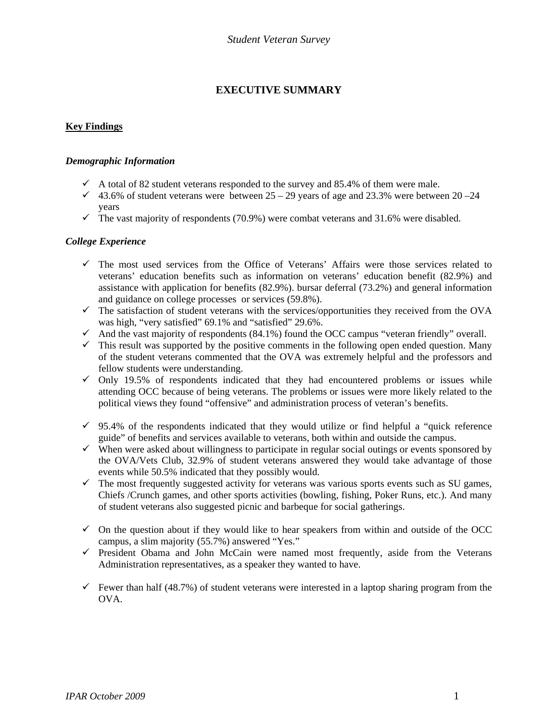# **EXECUTIVE SUMMARY**

# **Key Findings**

# *Demographic Information*

- $\checkmark$  A total of 82 student veterans responded to the survey and 85.4% of them were male.
- $\checkmark$  43.6% of student veterans were between 25 29 years of age and 23.3% were between 20 24 years
- $\checkmark$  The vast majority of respondents (70.9%) were combat veterans and 31.6% were disabled.

### *College Experience*

- $\checkmark$  The most used services from the Office of Veterans' Affairs were those services related to veterans' education benefits such as information on veterans' education benefit (82.9%) and assistance with application for benefits (82.9%). bursar deferral (73.2%) and general information and guidance on college processes or services (59.8%).
- $\checkmark$  The satisfaction of student veterans with the services/opportunities they received from the OVA was high, "very satisfied" 69.1% and "satisfied" 29.6%.
- And the vast majority of respondents  $(84.1\%)$  found the OCC campus "veteran friendly" overall.
- $\checkmark$  This result was supported by the positive comments in the following open ended question. Many of the student veterans commented that the OVA was extremely helpful and the professors and fellow students were understanding.
- $\checkmark$  Only 19.5% of respondents indicated that they had encountered problems or issues while attending OCC because of being veterans. The problems or issues were more likely related to the political views they found "offensive" and administration process of veteran's benefits.
- $\checkmark$  95.4% of the respondents indicated that they would utilize or find helpful a "quick reference" guide" of benefits and services available to veterans, both within and outside the campus.
- $\checkmark$  When were asked about willingness to participate in regular social outings or events sponsored by the OVA/Vets Club, 32.9% of student veterans answered they would take advantage of those events while 50.5% indicated that they possibly would.
- $\checkmark$  The most frequently suggested activity for veterans was various sports events such as SU games, Chiefs /Crunch games, and other sports activities (bowling, fishing, Poker Runs, etc.). And many of student veterans also suggested picnic and barbeque for social gatherings.
- $\checkmark$  On the question about if they would like to hear speakers from within and outside of the OCC campus, a slim majority (55.7%) answered "Yes."
- $\checkmark$  President Obama and John McCain were named most frequently, aside from the Veterans Administration representatives, as a speaker they wanted to have.
- $\checkmark$  Fewer than half (48.7%) of student veterans were interested in a laptop sharing program from the OVA.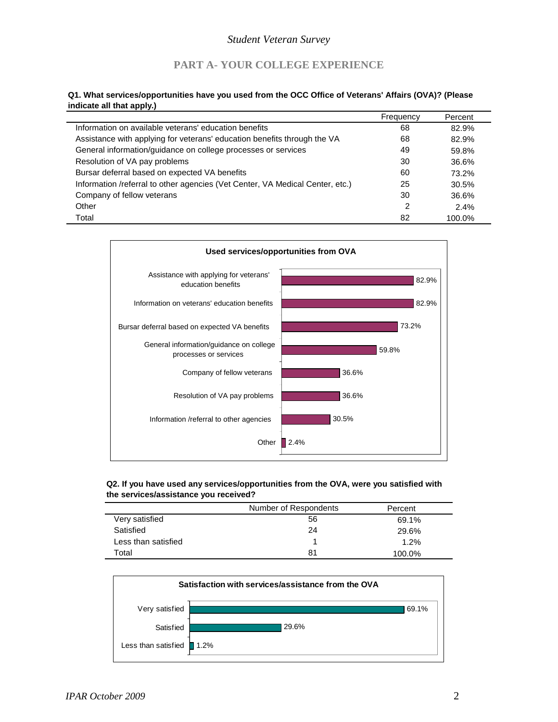# **PART A- YOUR COLLEGE EXPERIENCE**

### **Q1. What services/opportunities have you used from the OCC Office of Veterans' Affairs (OVA)? (Please indicate all that apply.)**

|                                                                               | Frequency | Percent |
|-------------------------------------------------------------------------------|-----------|---------|
| Information on available veterans' education benefits                         | 68        | 82.9%   |
| Assistance with applying for veterans' education benefits through the VA      | 68        | 82.9%   |
| General information/guidance on college processes or services                 | 49        | 59.8%   |
| Resolution of VA pay problems                                                 | 30        | 36.6%   |
| Bursar deferral based on expected VA benefits                                 | 60        | 73.2%   |
| Information /referral to other agencies (Vet Center, VA Medical Center, etc.) | 25        | 30.5%   |
| Company of fellow veterans                                                    | 30        | 36.6%   |
| Other                                                                         | 2         | 2.4%    |
| Total                                                                         | 82        | 100.0%  |



### **Q2. If you have used any services/opportunities from the OVA, were you satisfied with the services/assistance you received?**

|                     | Number of Respondents | Percent |
|---------------------|-----------------------|---------|
| Very satisfied      | 56                    | 69.1%   |
| Satisfied           | 24                    | 29.6%   |
| Less than satisfied |                       | 1.2%    |
| Total               | 81                    | 100.0%  |

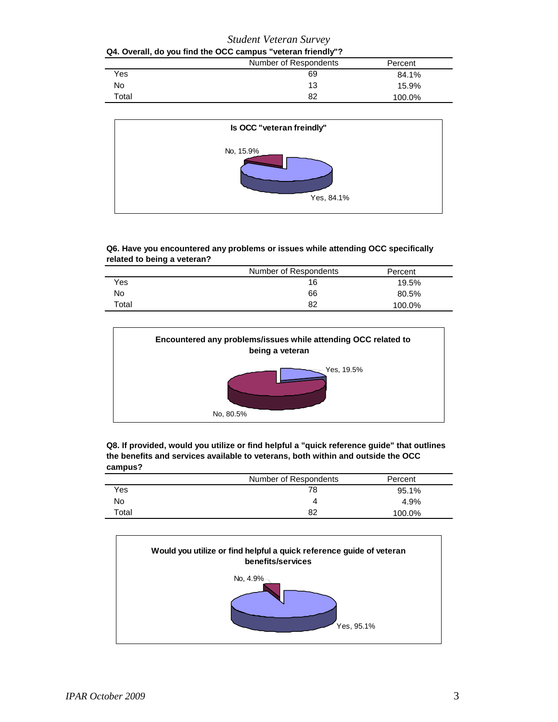| <b>Student Veteran Survey</b><br>Q4. Overall, do you find the OCC campus "veteran friendly"? |    |        |
|----------------------------------------------------------------------------------------------|----|--------|
|                                                                                              |    |        |
| <b>Yes</b>                                                                                   | 69 | 84.1%  |
| No                                                                                           | 13 | 15.9%  |
| Total                                                                                        | 82 | 100.0% |



### **Q6. Have you encountered any problems or issues while attending OCC specifically related to being a veteran?**

|       | Number of Respondents | Percent |
|-------|-----------------------|---------|
| Yes   | 16                    | 19.5%   |
| No    | 66                    | 80.5%   |
| Total | 82                    | 100.0%  |



| Q8. If provided, would you utilize or find helpful a "quick reference quide" that outlines |
|--------------------------------------------------------------------------------------------|
| the benefits and services available to veterans, both within and outside the OCC           |
| campus?                                                                                    |

|       | Number of Respondents | Percent |  |
|-------|-----------------------|---------|--|
| Yes   | 78                    | 95.1%   |  |
| No    | Δ                     | 4.9%    |  |
| Total | 82                    | 100.0%  |  |

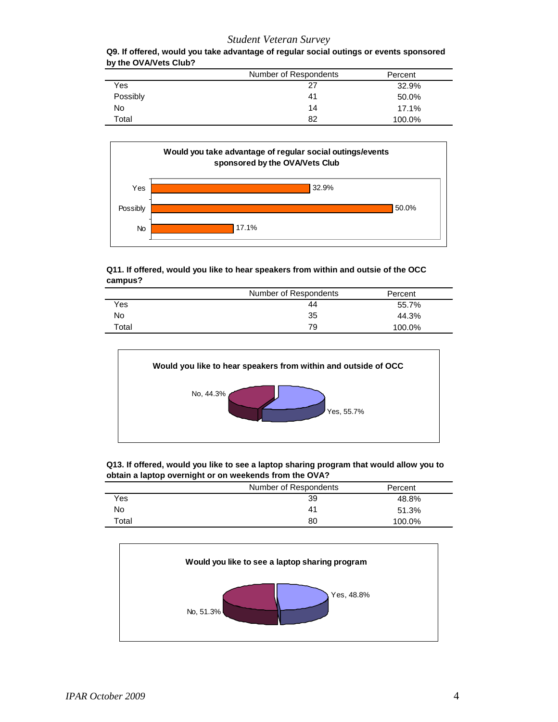| Q9. If offered, would you take advantage of regular social outings or events sponsored |  |
|----------------------------------------------------------------------------------------|--|
| by the OVA/Vets Club?                                                                  |  |

|          | Number of Respondents | Percent |
|----------|-----------------------|---------|
| Yes      | 27                    | 32.9%   |
| Possibly | 41                    | 50.0%   |
| No       | 14                    | 17.1%   |
| Total    | 82                    | 100.0%  |



### **Q11. If offered, would you like to hear speakers from within and outsie of the OCC campus?**

|       | Number of Respondents | Percent |
|-------|-----------------------|---------|
| Yes   | 44                    | 55.7%   |
| No    | 35                    | 44.3%   |
| Total | 79                    | 100.0%  |



| Q13. If offered, would you like to see a laptop sharing program that would allow you to |
|-----------------------------------------------------------------------------------------|
| obtain a laptop overnight or on weekends from the OVA?                                  |

|       | Number of Respondents | Percent |
|-------|-----------------------|---------|
| Yes   | 39                    | 48.8%   |
| No    | 41                    | 51.3%   |
| Total | 80                    | 100.0%  |
|       |                       |         |



 $\overline{\phantom{0}}$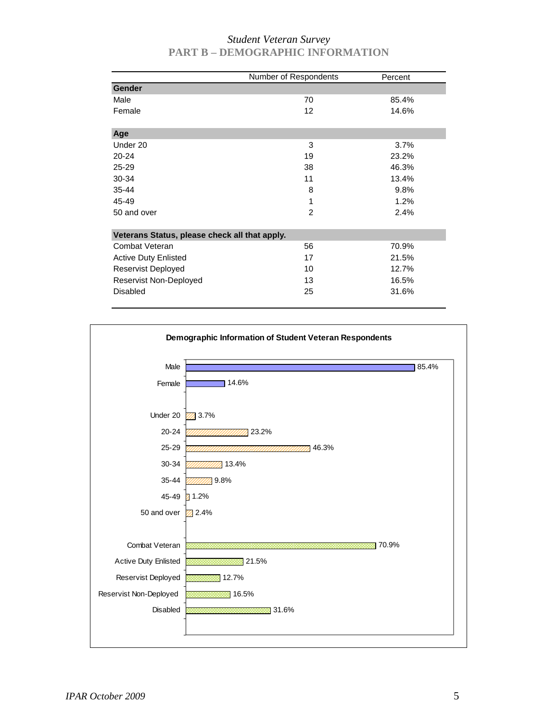|                                               | Number of Respondents | Percent |
|-----------------------------------------------|-----------------------|---------|
| <b>Gender</b>                                 |                       |         |
| Male                                          | 70                    | 85.4%   |
| Female                                        | 12                    | 14.6%   |
| Age                                           |                       |         |
| Under 20                                      | 3                     | 3.7%    |
| $20 - 24$                                     | 19                    | 23.2%   |
| 25-29                                         | 38                    | 46.3%   |
| 30-34                                         | 11                    | 13.4%   |
| 35-44                                         | 8                     | 9.8%    |
| 45-49                                         | 1                     | 1.2%    |
| 50 and over                                   | $\overline{2}$        | 2.4%    |
| Veterans Status, please check all that apply. |                       |         |
| Combat Veteran                                | 56                    | 70.9%   |
| <b>Active Duty Enlisted</b>                   | 17                    | 21.5%   |
| Reservist Deployed                            | 10                    | 12.7%   |
| Reservist Non-Deployed                        | 13                    | 16.5%   |
| <b>Disabled</b>                               | 25                    | 31.6%   |

# *Student Veteran Survey*  **PART B – DEMOGRAPHIC INFORMATION**

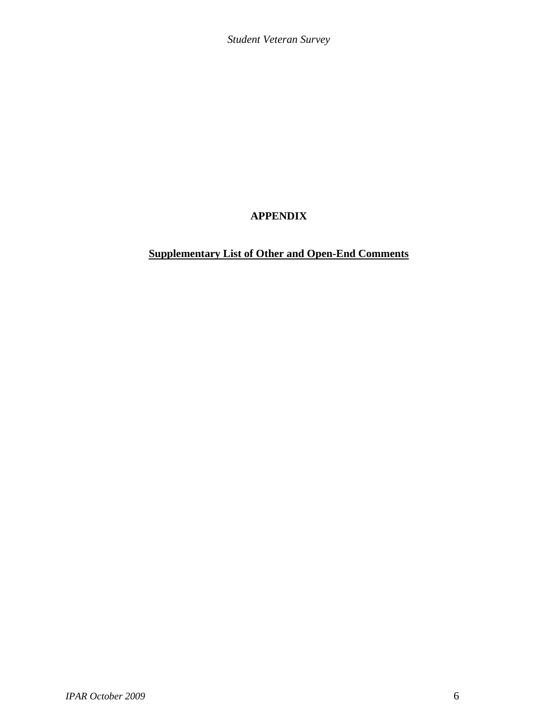# **APPENDIX**

# **Supplementary List of Other and Open-End Comments**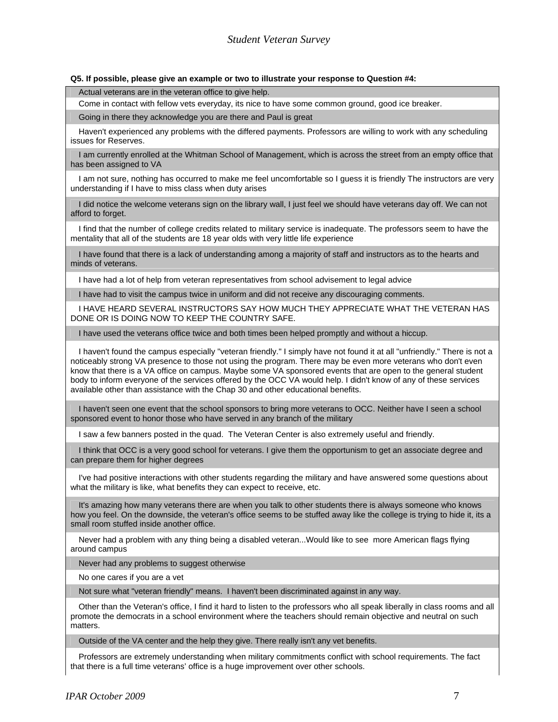#### **Q5. If possible, please give an example or two to illustrate your response to Question #4:**

Actual veterans are in the veteran office to give help.

Come in contact with fellow vets everyday, its nice to have some common ground, good ice breaker.

Going in there they acknowledge you are there and Paul is great

Haven't experienced any problems with the differed payments. Professors are willing to work with any scheduling issues for Reserves.

I am currently enrolled at the Whitman School of Management, which is across the street from an empty office that has been assigned to VA

I am not sure, nothing has occurred to make me feel uncomfortable so I guess it is friendly The instructors are very understanding if I have to miss class when duty arises

I did notice the welcome veterans sign on the library wall, I just feel we should have veterans day off. We can not afford to forget.

I find that the number of college credits related to military service is inadequate. The professors seem to have the mentality that all of the students are 18 year olds with very little life experience

I have found that there is a lack of understanding among a majority of staff and instructors as to the hearts and minds of veterans.

I have had a lot of help from veteran representatives from school advisement to legal advice

I have had to visit the campus twice in uniform and did not receive any discouraging comments.

I HAVE HEARD SEVERAL INSTRUCTORS SAY HOW MUCH THEY APPRECIATE WHAT THE VETERAN HAS DONE OR IS DOING NOW TO KEEP THE COUNTRY SAFE.

I have used the veterans office twice and both times been helped promptly and without a hiccup.

I haven't found the campus especially "veteran friendly." I simply have not found it at all "unfriendly." There is not a noticeably strong VA presence to those not using the program. There may be even more veterans who don't even know that there is a VA office on campus. Maybe some VA sponsored events that are open to the general student body to inform everyone of the services offered by the OCC VA would help. I didn't know of any of these services available other than assistance with the Chap 30 and other educational benefits.

I haven't seen one event that the school sponsors to bring more veterans to OCC. Neither have I seen a school sponsored event to honor those who have served in any branch of the military

I saw a few banners posted in the quad. The Veteran Center is also extremely useful and friendly.

I think that OCC is a very good school for veterans. I give them the opportunism to get an associate degree and can prepare them for higher degrees

I've had positive interactions with other students regarding the military and have answered some questions about what the military is like, what benefits they can expect to receive, etc.

It's amazing how many veterans there are when you talk to other students there is always someone who knows how you feel. On the downside, the veteran's office seems to be stuffed away like the college is trying to hide it, its a small room stuffed inside another office.

Never had a problem with any thing being a disabled veteran...Would like to see more American flags flying around campus

Never had any problems to suggest otherwise

No one cares if you are a vet

Not sure what "veteran friendly" means. I haven't been discriminated against in any way.

Other than the Veteran's office, I find it hard to listen to the professors who all speak liberally in class rooms and all promote the democrats in a school environment where the teachers should remain objective and neutral on such matters.

Outside of the VA center and the help they give. There really isn't any vet benefits.

Professors are extremely understanding when military commitments conflict with school requirements. The fact that there is a full time veterans' office is a huge improvement over other schools.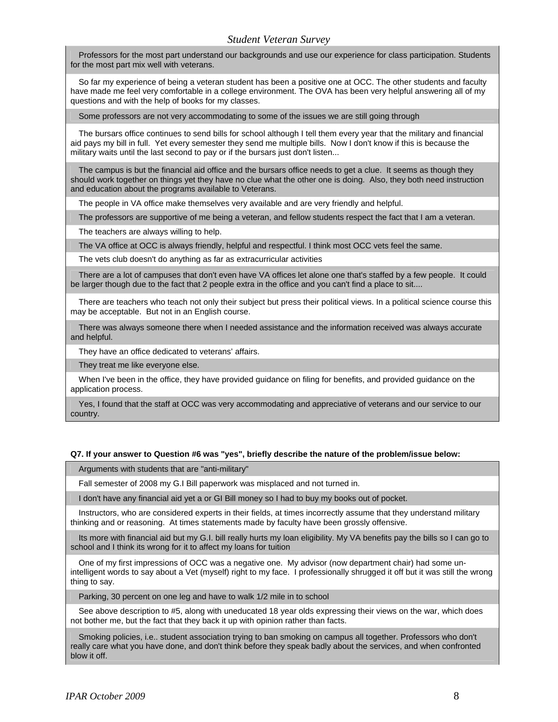Professors for the most part understand our backgrounds and use our experience for class participation. Students for the most part mix well with veterans.

So far my experience of being a veteran student has been a positive one at OCC. The other students and faculty have made me feel very comfortable in a college environment. The OVA has been very helpful answering all of my questions and with the help of books for my classes.

Some professors are not very accommodating to some of the issues we are still going through

The bursars office continues to send bills for school although I tell them every year that the military and financial aid pays my bill in full. Yet every semester they send me multiple bills. Now I don't know if this is because the military waits until the last second to pay or if the bursars just don't listen...

The campus is but the financial aid office and the bursars office needs to get a clue. It seems as though they should work together on things yet they have no clue what the other one is doing. Also, they both need instruction and education about the programs available to Veterans.

The people in VA office make themselves very available and are very friendly and helpful.

The professors are supportive of me being a veteran, and fellow students respect the fact that I am a veteran.

The teachers are always willing to help.

The VA office at OCC is always friendly, helpful and respectful. I think most OCC vets feel the same.

The vets club doesn't do anything as far as extracurricular activities

There are a lot of campuses that don't even have VA offices let alone one that's staffed by a few people. It could be larger though due to the fact that 2 people extra in the office and you can't find a place to sit....

There are teachers who teach not only their subject but press their political views. In a political science course this may be acceptable. But not in an English course.

There was always someone there when I needed assistance and the information received was always accurate and helpful.

They have an office dedicated to veterans' affairs.

They treat me like everyone else.

When I've been in the office, they have provided guidance on filing for benefits, and provided guidance on the application process.

Yes, I found that the staff at OCC was very accommodating and appreciative of veterans and our service to our country.

#### **Q7. If your answer to Question #6 was "yes", briefly describe the nature of the problem/issue below:**

Arguments with students that are "anti-military"

Fall semester of 2008 my G.I Bill paperwork was misplaced and not turned in.

I don't have any financial aid yet a or GI Bill money so I had to buy my books out of pocket.

Instructors, who are considered experts in their fields, at times incorrectly assume that they understand military thinking and or reasoning. At times statements made by faculty have been grossly offensive.

Its more with financial aid but my G.I. bill really hurts my loan eligibility. My VA benefits pay the bills so I can go to school and I think its wrong for it to affect my loans for tuition

One of my first impressions of OCC was a negative one. My advisor (now department chair) had some unintelligent words to say about a Vet (myself) right to my face. I professionally shrugged it off but it was still the wrong thing to say.

Parking, 30 percent on one leg and have to walk 1/2 mile in to school

See above description to #5, along with uneducated 18 year olds expressing their views on the war, which does not bother me, but the fact that they back it up with opinion rather than facts.

Smoking policies, i.e.. student association trying to ban smoking on campus all together. Professors who don't really care what you have done, and don't think before they speak badly about the services, and when confronted blow it off.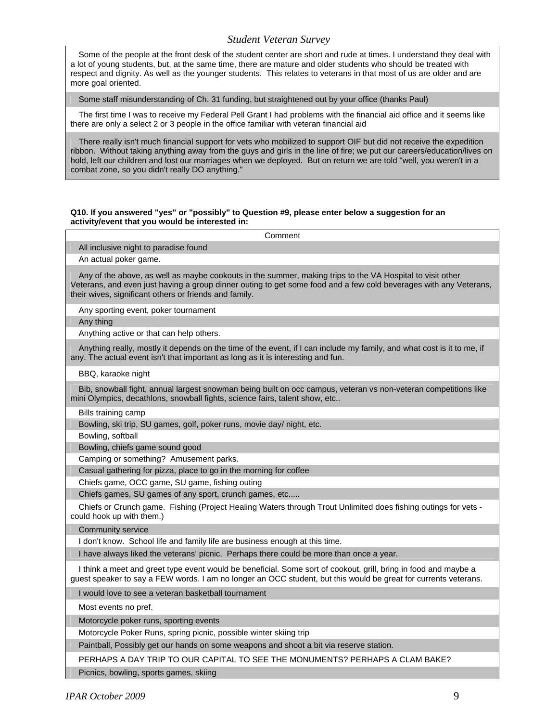Some of the people at the front desk of the student center are short and rude at times. I understand they deal with a lot of young students, but, at the same time, there are mature and older students who should be treated with respect and dignity. As well as the younger students. This relates to veterans in that most of us are older and are more goal oriented.

Some staff misunderstanding of Ch. 31 funding, but straightened out by your office (thanks Paul)

The first time I was to receive my Federal Pell Grant I had problems with the financial aid office and it seems like there are only a select 2 or 3 people in the office familiar with veteran financial aid

There really isn't much financial support for vets who mobilized to support OIF but did not receive the expedition ribbon. Without taking anything away from the guys and girls in the line of fire; we put our careers/education/lives on hold, left our children and lost our marriages when we deployed. But on return we are told "well, you weren't in a combat zone, so you didn't really DO anything."

#### **Q10. If you answered "yes" or "possibly" to Question #9, please enter below a suggestion for an activity/event that you would be interested in:**

Comment All inclusive night to paradise found An actual poker game. Any of the above, as well as maybe cookouts in the summer, making trips to the VA Hospital to visit other Veterans, and even just having a group dinner outing to get some food and a few cold beverages with any Veterans, their wives, significant others or friends and family. Any sporting event, poker tournament Any thing Anything active or that can help others. Anything really, mostly it depends on the time of the event, if I can include my family, and what cost is it to me, if any. The actual event isn't that important as long as it is interesting and fun. BBQ, karaoke night Bib, snowball fight, annual largest snowman being built on occ campus, veteran vs non-veteran competitions like mini Olympics, decathlons, snowball fights, science fairs, talent show, etc.. Bills training camp Bowling, ski trip, SU games, golf, poker runs, movie day/ night, etc. Bowling, softball Bowling, chiefs game sound good Camping or something? Amusement parks. Casual gathering for pizza, place to go in the morning for coffee Chiefs game, OCC game, SU game, fishing outing Chiefs games, SU games of any sport, crunch games, etc..... Chiefs or Crunch game. Fishing (Project Healing Waters through Trout Unlimited does fishing outings for vets could hook up with them.) Community service I don't know. School life and family life are business enough at this time. I have always liked the veterans' picnic. Perhaps there could be more than once a year. I think a meet and greet type event would be beneficial. Some sort of cookout, grill, bring in food and maybe a guest speaker to say a FEW words. I am no longer an OCC student, but this would be great for currents veterans. I would love to see a veteran basketball tournament Most events no pref. Motorcycle poker runs, sporting events Motorcycle Poker Runs, spring picnic, possible winter skiing trip Paintball, Possibly get our hands on some weapons and shoot a bit via reserve station. PERHAPS A DAY TRIP TO OUR CAPITAL TO SEE THE MONUMENTS? PERHAPS A CLAM BAKE?

Picnics, bowling, sports games, skiing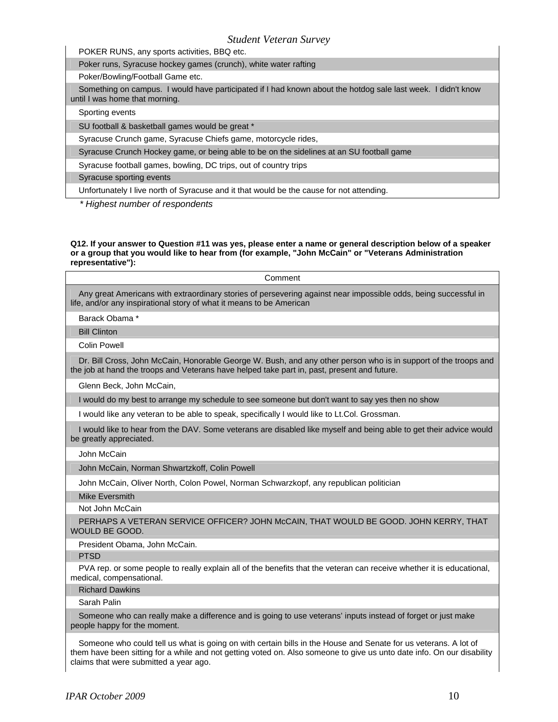POKER RUNS, any sports activities, BBQ etc.

Poker runs, Syracuse hockey games (crunch), white water rafting

Poker/Bowling/Football Game etc.

Something on campus. I would have participated if I had known about the hotdog sale last week. I didn't know until I was home that morning.

Sporting events

SU football & basketball games would be great \*

Syracuse Crunch game, Syracuse Chiefs game, motorcycle rides,

Syracuse Crunch Hockey game, or being able to be on the sidelines at an SU football game

Syracuse football games, bowling, DC trips, out of country trips

Syracuse sporting events

Unfortunately I live north of Syracuse and it that would be the cause for not attending.

*\* Highest number of respondents* 

#### **Q12. If your answer to Question #11 was yes, please enter a name or general description below of a speaker or a group that you would like to hear from (for example, "John McCain" or "Veterans Administration representative"):**

| Comment                                                                                                                                                                                                        |
|----------------------------------------------------------------------------------------------------------------------------------------------------------------------------------------------------------------|
| Any great Americans with extraordinary stories of persevering against near impossible odds, being successful in<br>life, and/or any inspirational story of what it means to be American                        |
| Barack Obama *                                                                                                                                                                                                 |
| <b>Bill Clinton</b>                                                                                                                                                                                            |
| Colin Powell                                                                                                                                                                                                   |
| Dr. Bill Cross, John McCain, Honorable George W. Bush, and any other person who is in support of the troops and<br>the job at hand the troops and Veterans have helped take part in, past, present and future. |
| Glenn Beck, John McCain,                                                                                                                                                                                       |
| I would do my best to arrange my schedule to see someone but don't want to say yes then no show                                                                                                                |
| I would like any veteran to be able to speak, specifically I would like to Lt.Col. Grossman.                                                                                                                   |
| I would like to hear from the DAV. Some veterans are disabled like myself and being able to get their advice would<br>be greatly appreciated.                                                                  |
| John McCain                                                                                                                                                                                                    |
| John McCain, Norman Shwartzkoff, Colin Powell                                                                                                                                                                  |
| John McCain, Oliver North, Colon Powel, Norman Schwarzkopf, any republican politician                                                                                                                          |
| Mike Eversmith                                                                                                                                                                                                 |

Not John McCain

PERHAPS A VETERAN SERVICE OFFICER? JOHN McCAIN, THAT WOULD BE GOOD. JOHN KERRY, THAT WOULD BE GOOD.

President Obama, John McCain.

PTSD

PVA rep. or some people to really explain all of the benefits that the veteran can receive whether it is educational, medical, compensational.

Richard Dawkins

Sarah Palin

Someone who can really make a difference and is going to use veterans' inputs instead of forget or just make people happy for the moment.

Someone who could tell us what is going on with certain bills in the House and Senate for us veterans. A lot of them have been sitting for a while and not getting voted on. Also someone to give us unto date info. On our disability claims that were submitted a year ago.